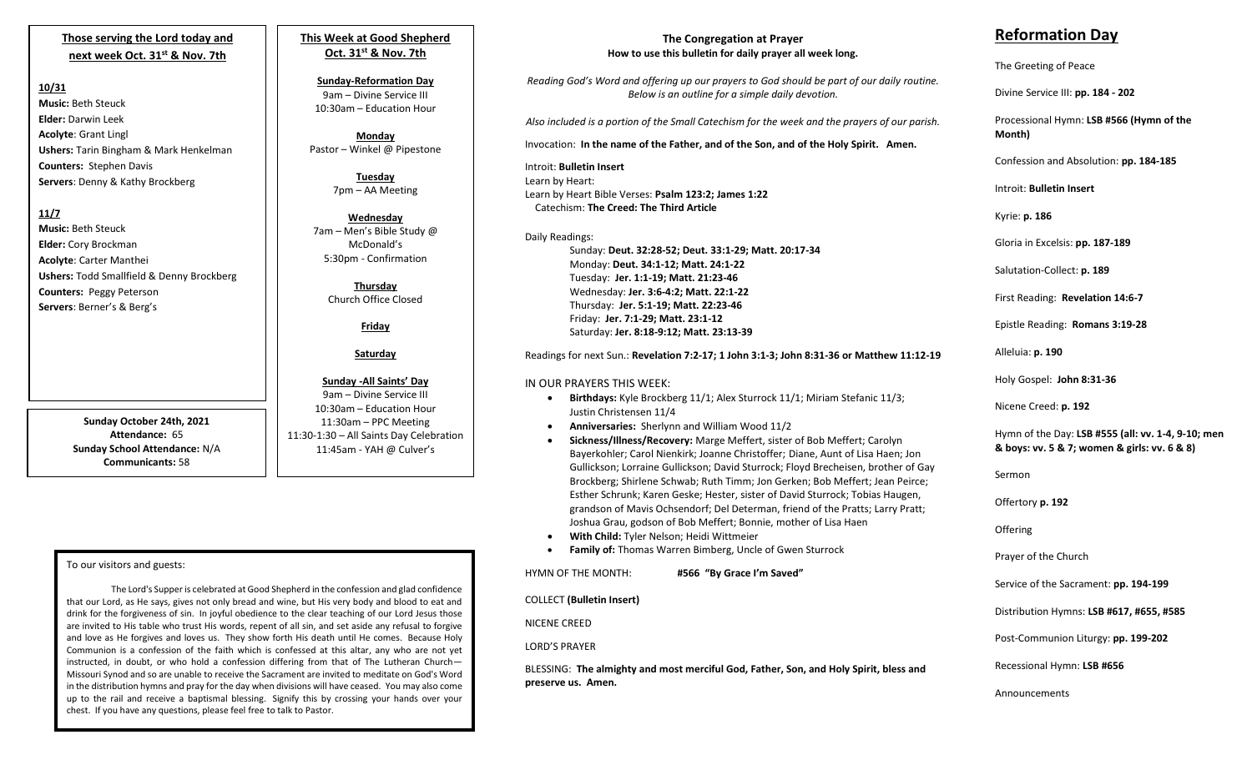## **Those serving the Lord today and next week Oct. 31st & Nov. 7th**

### **10/31**

**Music:** Beth Steuck **Elder:** Darwin Leek **Acolyte**: Grant Lingl **Ushers:** Tarin Bingham & Mark Henkelman **Counters:** Stephen Davis **Servers**: Denny & Kathy Brockberg

## **11/7**

**Music:** Beth Steuck **Elder:** Cory Brockman **Acolyte**: Carter Manthei **Ushers:** Todd Smallfield & Denny Brockberg **Counters:** Peggy Peterson **Servers**: Berner's & Berg's

> **Sunday October 24th, 2021 Attendance:** 65 **Sunday School Attendance:** N/A **Communicants:** 58

**Oct. 31st & Nov. 7th Sunday-Reformation Day** 9am – Divine Service III

**This Week at Good Shepherd**

10:30am – Education Hour **Monday**

Pastor – Winkel @ Pipestone

**Tuesday** 7pm – AA Meeting

**Wednesday** 7am – Men's Bible Study @ McDonald's 5:30pm - Confirmation

> **Thursday** Church Office Closed

> > **Friday**

#### **Saturday**

#### **Sunday -All Saints' Day** 9am – Divine Service III 10:30am – Education Hour

11:30am – PPC Meeting 11:30-1:30 – All Saints Day Celebration 11:45am - YAH @ Culver's

## To our visitors and guests:

instructed, in doubt, or who hold a confession differing from that of The Lutheran Church-The Lord's Supper is celebrated at Good Shepherd in the confession and glad confidence that our Lord, as He says, gives not only bread and wine, but His very body and blood to eat and drink for the forgiveness of sin. In joyful obedience to the clear teaching of our Lord Jesus those are invited to His table who trust His words, repent of all sin, and set aside any refusal to forgive and love as He forgives and loves us. They show forth His death until He comes. Because Holy Communion is a confession of the faith which is confessed at this altar, any who are not yet Missouri Synod and so are unable to receive the Sacrament are invited to meditate on God's Word in the distribution hymns and pray for the day when divisions will have ceased. You may also come up to the rail and receive a baptismal blessing. Signify this by crossing your hands over your chest. If you have any questions, please feel free to talk to Pastor.

# **The Congregation at Prayer How to use this bulletin for daily prayer all week long.**

*Reading God's Word and offering up our prayers to God should be part of our daily routine. Below is an outline for a simple daily devotion.*

*Also included is a portion of the Small Catechism for the week and the prayers of our parish.*

Invocation: **In the name of the Father, and of the Son, and of the Holy Spirit. Amen.**

Introit: **Bulletin Insert** Learn by Heart: Learn by Heart Bible Verses: **Psalm 123:2; James 1:22** Catechism: **The Creed: The Third Article**

Daily Readings: Sunday: **Deut. 32:28-52; Deut. 33:1-29; Matt. 20:17-34** Monday: **Deut. 34:1-12; Matt. 24:1-22** Tuesday: **Jer. 1:1-19; Matt. 21:23-46** Wednesday: **Jer. 3:6-4:2; Matt. 22:1-22** Thursday: **Jer. 5:1-19; Matt. 22:23-46** Friday: **Jer. 7:1-29; Matt. 23:1-12** Saturday: **Jer. 8:18-9:12; Matt. 23:13-39**

Readings for next Sun.: **Revelation 7:2-17; 1 John 3:1-3; John 8:31-36 or Matthew 11:12-19**

## IN OUR PRAYERS THIS WEEK:

- **Birthdays:** Kyle Brockberg 11/1; Alex Sturrock 11/1; Miriam Stefanic 11/3; Justin Christensen 11/4
- **Anniversaries:** Sherlynn and William Wood 11/2
- **Sickness/Illness/Recovery:** Marge Meffert, sister of Bob Meffert; Carolyn Bayerkohler; Carol Nienkirk; Joanne Christoffer; Diane, Aunt of Lisa Haen; Jon Gullickson; Lorraine Gullickson; David Sturrock; Floyd Brecheisen, brother of Gay Brockberg; Shirlene Schwab; Ruth Timm; Jon Gerken; Bob Meffert; Jean Peirce; Esther Schrunk; Karen Geske; Hester, sister of David Sturrock; Tobias Haugen, grandson of Mavis Ochsendorf; Del Determan, friend of the Pratts; Larry Pratt; Joshua Grau, godson of Bob Meffert; Bonnie, mother of Lisa Haen
- **With Child:** Tyler Nelson; Heidi Wittmeier
- **Family of:** Thomas Warren Bimberg, Uncle of Gwen Sturrock

HYMN OF THE MONTH: **#566 "By Grace I'm Saved"**

COLLECT **(Bulletin Insert)**

NICENE CREED

LORD'S PRAYER

BLESSING: **The almighty and most merciful God, Father, Son, and Holy Spirit, bless and preserve us. Amen.**

# **Reformation Day**

The Greeting of Peace

Divine Service III: **pp. 184 - 202**

Processional Hymn: **LSB #566 (Hymn of the Month)**

Confession and Absolution: **pp. 184-185**

Introit: **Bulletin Insert** 

Kyrie: **p. 186**

Gloria in Excelsis: **pp. 187-189**

Salutation-Collect: **p. 189**

First Reading: **Revelation 14:6-7**

Epistle Reading: **Romans 3:19-28**

Alleluia: **p. 190**

Holy Gospel: **John 8:31-36**

Nicene Creed: **p. 192**

Hymn of the Day: **LSB #555 (all: vv. 1-4, 9-10; men & boys: vv. 5 & 7; women & girls: vv. 6 & 8)**

Sermon

Offertory **p. 192**

**Offering** 

Prayer of the Church

Service of the Sacrament: **pp. 194-199**

Distribution Hymns: **LSB #617, #655, #585**

Post-Communion Liturgy: **pp. 199-202** 

Recessional Hymn: **LSB #656**

Announcements